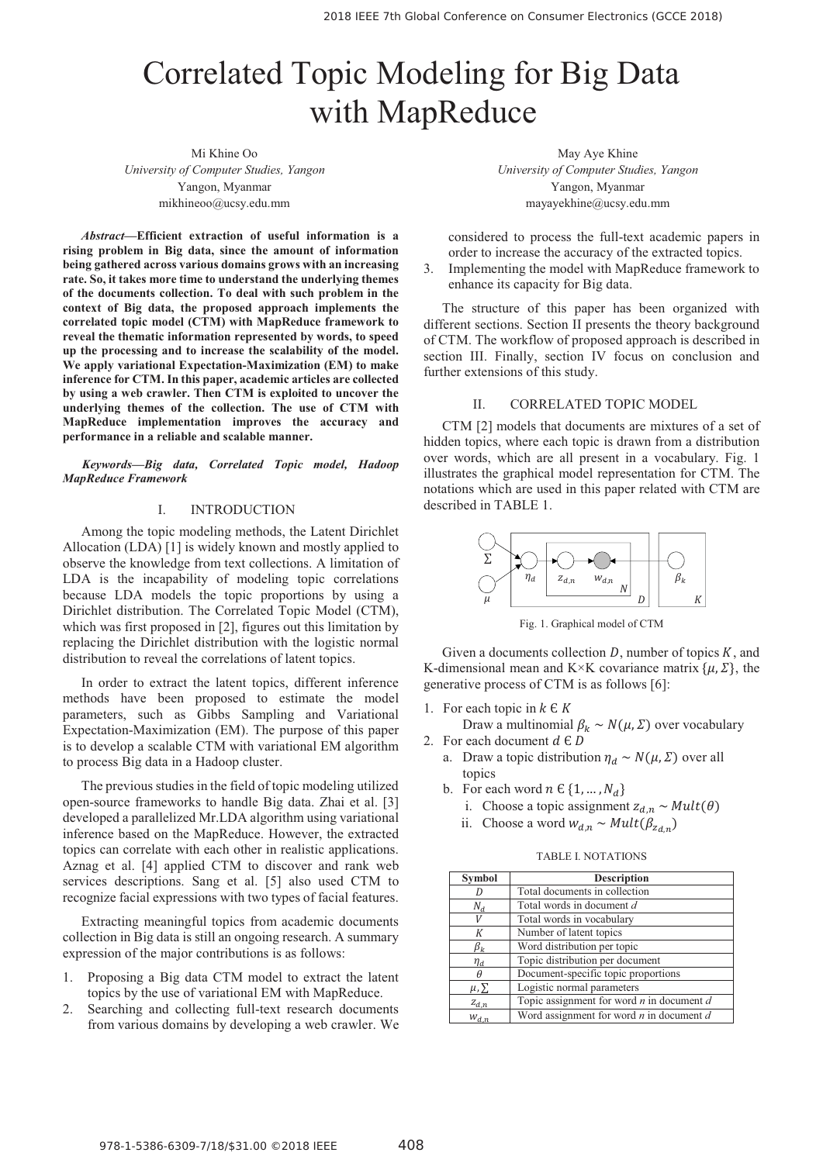# Correlated Topic Modeling for Big Data with MapReduce

Mi Khine Oo *University of Computer Studies, Yangon*  Yangon, Myanmar mikhineoo@ucsy.edu.mm

*Abstract***—Efficient extraction of useful information is a rising problem in Big data, since the amount of information being gathered across various domains grows with an increasing rate. So, it takes more time to understand the underlying themes of the documents collection. To deal with such problem in the context of Big data, the proposed approach implements the correlated topic model (CTM) with MapReduce framework to reveal the thematic information represented by words, to speed up the processing and to increase the scalability of the model. We apply variational Expectation-Maximization (EM) to make inference for CTM. In this paper, academic articles are collected by using a web crawler. Then CTM is exploited to uncover the underlying themes of the collection. The use of CTM with MapReduce implementation improves the accuracy and performance in a reliable and scalable manner.** 

*Keywords—Big data, Correlated Topic model, Hadoop MapReduce Framework* 

## I. INTRODUCTION

Among the topic modeling methods, the Latent Dirichlet Allocation (LDA) [1] is widely known and mostly applied to observe the knowledge from text collections. A limitation of LDA is the incapability of modeling topic correlations because LDA models the topic proportions by using a Dirichlet distribution. The Correlated Topic Model (CTM), which was first proposed in [2], figures out this limitation by replacing the Dirichlet distribution with the logistic normal distribution to reveal the correlations of latent topics.

In order to extract the latent topics, different inference methods have been proposed to estimate the model parameters, such as Gibbs Sampling and Variational Expectation-Maximization (EM). The purpose of this paper is to develop a scalable CTM with variational EM algorithm to process Big data in a Hadoop cluster.

The previous studies in the field of topic modeling utilized open-source frameworks to handle Big data. Zhai et al. [3] developed a parallelized Mr.LDA algorithm using variational inference based on the MapReduce. However, the extracted topics can correlate with each other in realistic applications. Aznag et al. [4] applied CTM to discover and rank web services descriptions. Sang et al. [5] also used CTM to recognize facial expressions with two types of facial features.

Extracting meaningful topics from academic documents collection in Big data is still an ongoing research. A summary expression of the major contributions is as follows:

- 1. Proposing a Big data CTM model to extract the latent topics by the use of variational EM with MapReduce.
- 2. Searching and collecting full-text research documents from various domains by developing a web crawler. We

May Aye Khine *University of Computer Studies, Yangon*  Yangon, Myanmar mayayekhine@ucsy.edu.mm

considered to process the full-text academic papers in order to increase the accuracy of the extracted topics.

3. Implementing the model with MapReduce framework to enhance its capacity for Big data.

The structure of this paper has been organized with different sections. Section II presents the theory background of CTM. The workflow of proposed approach is described in section III. Finally, section IV focus on conclusion and further extensions of this study.

## II. CORRELATED TOPIC MODEL

CTM [2] models that documents are mixtures of a set of hidden topics, where each topic is drawn from a distribution over words, which are all present in a vocabulary. Fig. 1 illustrates the graphical model representation for CTM. The notations which are used in this paper related with CTM are described in TABLE 1.



Fig. 1. Graphical model of CTM

Given a documents collection  $D$ , number of topics  $K$ , and K-dimensional mean and K×K covariance matrix  $\{\mu, \Sigma\}$ , the generative process of CTM is as follows [6]:

- 1. For each topic in  $k \in K$
- Draw a multinomial  $\beta_k \sim N(\mu, \Sigma)$  over vocabulary 2. For each document  $d \in D$ 
	- a. Draw a topic distribution  $\eta_d \sim N(\mu, \Sigma)$  over all topics
	- b. For each word  $n \in \{1, ..., N_d\}$ 
		- i. Choose a topic assignment  $z_{d,n} \sim Mult(\theta)$
		- ii. Choose a word  $w_{d,n} \sim Mult(\beta_{z_{d,n}})$

TABLE I. NOTATIONS

| <b>Symbol</b> | <b>Description</b>                            |
|---------------|-----------------------------------------------|
|               | Total documents in collection                 |
| $N_d$         | Total words in document d                     |
| V             | Total words in vocabulary                     |
| К             | Number of latent topics                       |
| $\beta_k$     | Word distribution per topic                   |
| $\eta_d$      | Topic distribution per document               |
| θ             | Document-specific topic proportions           |
| $\mu, \Sigma$ | Logistic normal parameters                    |
| $Z_{d,n}$     | Topic assignment for word $n$ in document $d$ |
| $W_{d,n}$     | Word assignment for word $n$ in document $d$  |